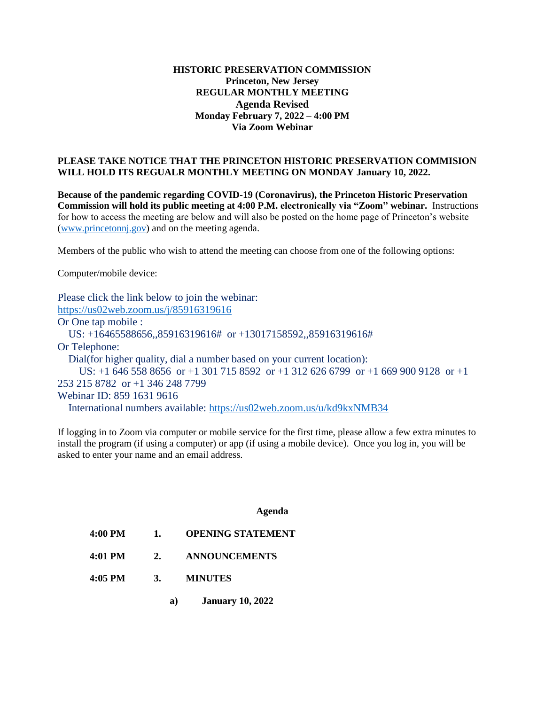# **HISTORIC PRESERVATION COMMISSION Princeton, New Jersey REGULAR MONTHLY MEETING Agenda Revised Monday February 7, 2022 – 4:00 PM Via Zoom Webinar**

## **PLEASE TAKE NOTICE THAT THE PRINCETON HISTORIC PRESERVATION COMMISION WILL HOLD ITS REGUALR MONTHLY MEETING ON MONDAY January 10, 2022.**

**Because of the pandemic regarding COVID-19 (Coronavirus), the Princeton Historic Preservation Commission will hold its public meeting at 4:00 P.M. electronically via "Zoom" webinar.** Instructions for how to access the meeting are below and will also be posted on the home page of Princeton's website [\(www.princetonnj.gov\)](http://www.princetonnj.gov/) and on the meeting agenda.

Members of the public who wish to attend the meeting can choose from one of the following options:

Computer/mobile device:

Please click the link below to join the webinar: <https://us02web.zoom.us/j/85916319616> Or One tap mobile : US: +16465588656,,85916319616# or +13017158592,,85916319616# Or Telephone: Dial(for higher quality, dial a number based on your current location): US: +1 646 558 8656 or +1 301 715 8592 or +1 312 626 6799 or +1 669 900 9128 or +1 253 215 8782 or +1 346 248 7799 Webinar ID: 859 1631 9616 International numbers available:<https://us02web.zoom.us/u/kd9kxNMB34>

If logging in to Zoom via computer or mobile service for the first time, please allow a few extra minutes to install the program (if using a computer) or app (if using a mobile device). Once you log in, you will be asked to enter your name and an email address.

#### **Agenda**

- **4:00 PM 1. OPENING STATEMENT**
- **4:01 PM 2. ANNOUNCEMENTS**
- **4:05 PM 3. MINUTES**
	- **a) January 10, 2022**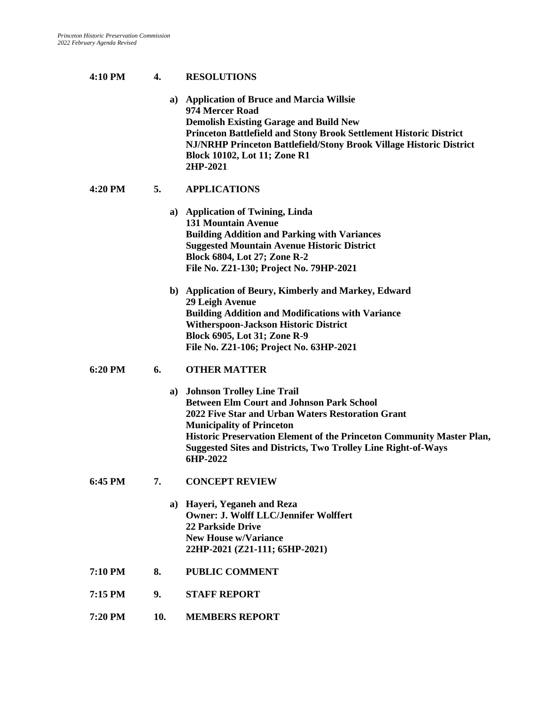## **4:10 PM 4. RESOLUTIONS**

**a) Application of Bruce and Marcia Willsie 974 Mercer Road Demolish Existing Garage and Build New Princeton Battlefield and Stony Brook Settlement Historic District NJ/NRHP Princeton Battlefield/Stony Brook Village Historic District Block 10102, Lot 11; Zone R1 2HP-2021**

## **4:20 PM 5. APPLICATIONS**

|                   |    | a) Application of Twining, Linda<br><b>131 Mountain Avenue</b><br><b>Building Addition and Parking with Variances</b><br><b>Suggested Mountain Avenue Historic District</b><br><b>Block 6804, Lot 27; Zone R-2</b><br>File No. Z21-130; Project No. 79HP-2021                                                                           |
|-------------------|----|-----------------------------------------------------------------------------------------------------------------------------------------------------------------------------------------------------------------------------------------------------------------------------------------------------------------------------------------|
|                   |    | b) Application of Beury, Kimberly and Markey, Edward<br>29 Leigh Avenue<br><b>Building Addition and Modifications with Variance</b><br><b>Witherspoon-Jackson Historic District</b><br>Block 6905, Lot 31; Zone R-9<br>File No. Z21-106; Project No. 63HP-2021                                                                          |
| $6:20 \text{ PM}$ | 6. | <b>OTHER MATTER</b>                                                                                                                                                                                                                                                                                                                     |
|                   |    | a) Johnson Trolley Line Trail<br><b>Between Elm Court and Johnson Park School</b><br>2022 Five Star and Urban Waters Restoration Grant<br><b>Municipality of Princeton</b><br>Historic Preservation Element of the Princeton Community Master Plan,<br><b>Suggested Sites and Districts, Two Trolley Line Right-of-Ways</b><br>6HP-2022 |
| $6:45$ PM         | 7. | <b>CONCEPT REVIEW</b>                                                                                                                                                                                                                                                                                                                   |
|                   |    | a) Hayeri, Yeganeh and Reza<br><b>Owner: J. Wolff LLC/Jennifer Wolffert</b><br><b>22 Parkside Drive</b><br><b>New House w/Variance</b><br>22HP-2021 (Z21-111; 65HP-2021)                                                                                                                                                                |
| $7:10$ PM         | 8. | <b>PUBLIC COMMENT</b>                                                                                                                                                                                                                                                                                                                   |

- **7:15 PM 9. STAFF REPORT**
- **7:20 PM 10. MEMBERS REPORT**